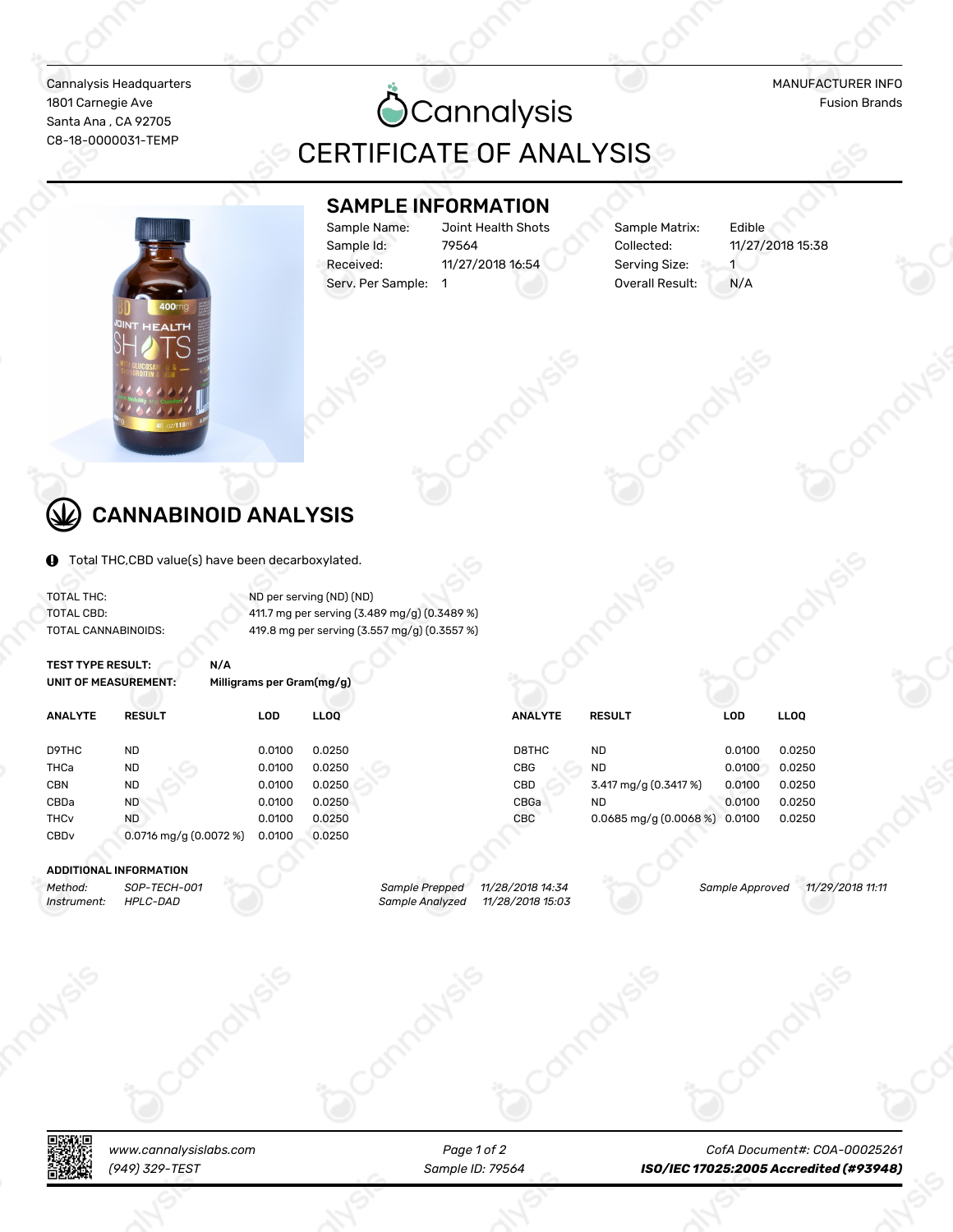Cannalysis Headquarters MANUFACTURER INFO Santa Ana, CA 92705

Santa Ana , CA 92705<br>Santa Ana , CA 92705<br>Santa Ana , CA 92705 CERTIFICATE OF ANALYSIS

### SAMPLE INFORMATION

Sample Name: Joint Health Shots Sample Matrix: Edible Sample Id: 79564 Collected: 11/27/2018 15:38 Received: 11/27/2018 16:54 Serving Size: 1 Serv. Per Sample: 1 0verall Result: N/A



## CANNABINOID ANALYSIS

Total THC,CBD value(s) have been decarboxylated.

TOTAL THC: ND per serving (ND) (ND)

TOTAL CBD: 11.7 mg per serving (3.489 mg/g) (0.3489 %) TOTAL CANNABINOIDS: 419.8 mg per serving (3.557 mg/g) (0.3557 %)

| <b>TEST TYPE RESULT:</b><br>UNIT OF MEASUREMENT: | N/A                       | Milligrams per Gram(mg/g) |             |                |                                   |            |             |  |
|--------------------------------------------------|---------------------------|---------------------------|-------------|----------------|-----------------------------------|------------|-------------|--|
| <b>ANALYTE</b>                                   | <b>RESULT</b>             | <b>LOD</b>                | <b>LLOO</b> | <b>ANALYTE</b> | <b>RESULT</b>                     | <b>LOD</b> | <b>LLOO</b> |  |
| D9THC                                            | <b>ND</b>                 | 0.0100                    | 0.0250      | D8THC          | <b>ND</b>                         | 0.0100     | 0.0250      |  |
| THCa                                             | <b>ND</b>                 | 0.0100                    | 0.0250      | <b>CBG</b>     | <b>ND</b>                         | 0.0100     | 0.0250      |  |
| <b>CBN</b>                                       | <b>ND</b>                 | 0.0100                    | 0.0250      | <b>CBD</b>     | 3.417 mg/g (0.3417 %)             | 0.0100     | 0.0250      |  |
| CBDa                                             | <b>ND</b>                 | 0.0100                    | 0.0250      | CBGa           | <b>ND</b>                         | 0.0100     | 0.0250      |  |
| <b>THC<sub>v</sub></b>                           | <b>ND</b>                 | 0.0100                    | 0.0250      | CBC            | $0.0685$ mg/g $(0.0068\%)$ 0.0100 |            | 0.0250      |  |
| CBD <sub>v</sub>                                 | $0.0716$ mg/g $(0.0072%)$ | 0.0100                    | 0.0250      |                |                                   |            |             |  |
|                                                  |                           |                           |             |                |                                   |            |             |  |

#### ADDITIONAL INFORMATION

*Method: SOP-TECH-ǽǽǾ Sample Prepped ǾǾ/ǿȅ/ǿǽǾȅ Ǿȁ:Ȁȁ Sample Approved ǾǾ/ǿȆ/ǿǽǾȅ ǾǾ:ǾǾ Instrument:* **HPLC-DAD Sample Analyzed** 





*Page Ǿ of ǿ*

*www.cannalysislabs.com CofA Document#: COA-ǽǽǽǿȂǿȃǾ (ȆȁȆ) ȀǿȆ-TEST Sample ID: ȄȆȂȃȁ ISO/IEC Ǿ7ǽǿȂ:ǿǽǽȂ Accredited (#9Ȁ9ȁ8)*